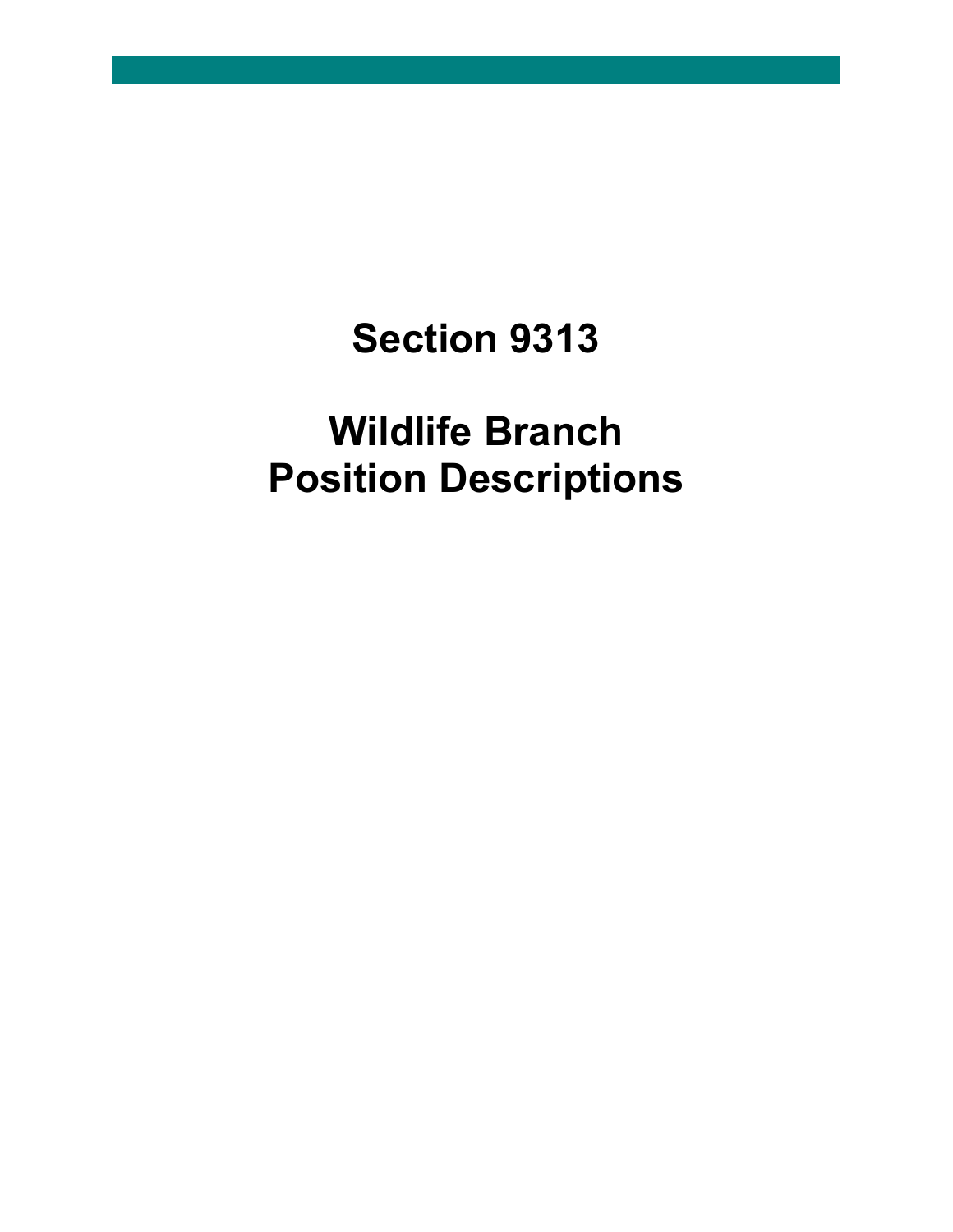## **Section 9313**

## **Wildlife Branch Position Descriptions**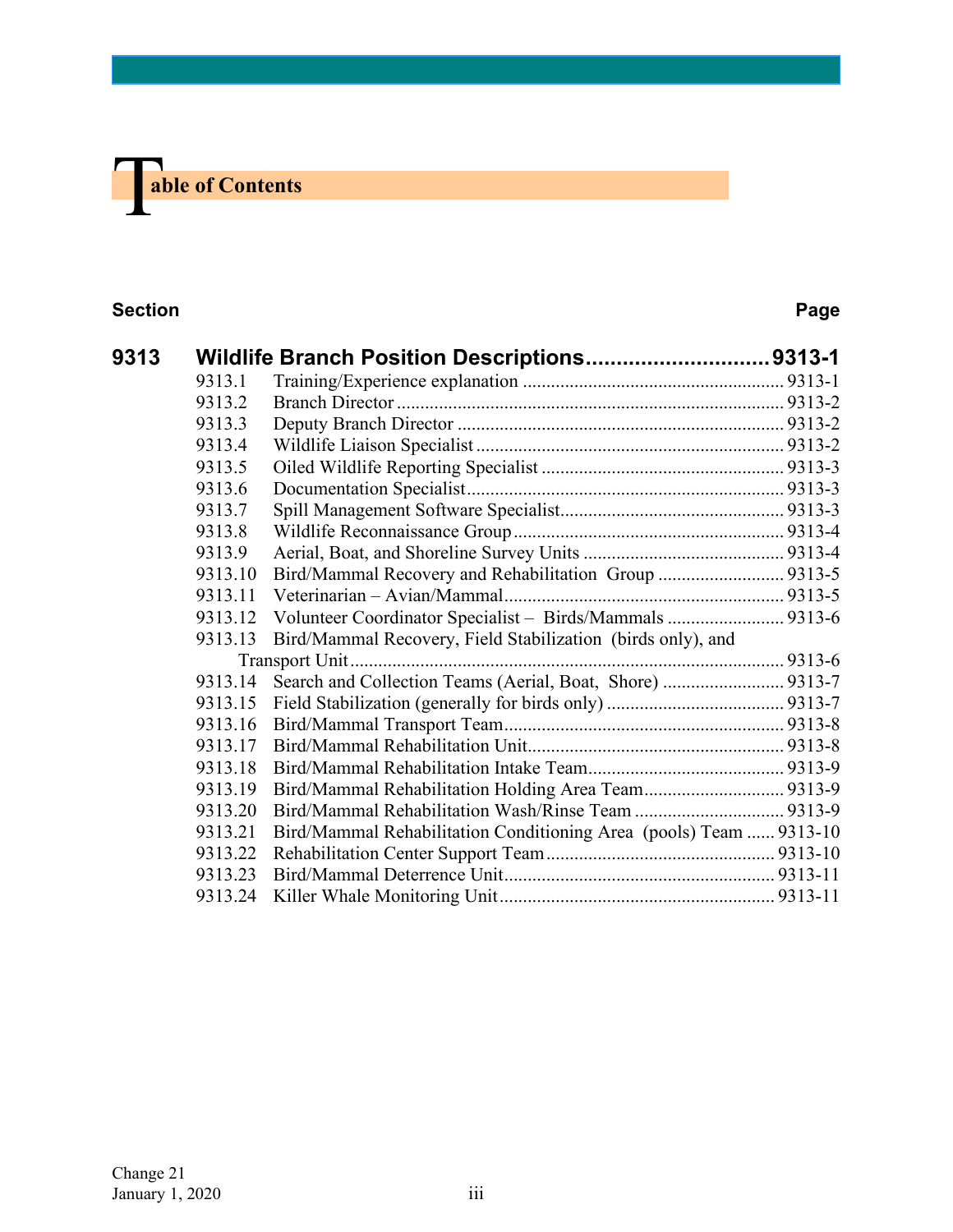# **The able of Contents**

#### **Section Page**

| 9313 |         | Wildlife Branch Position Descriptions9313-1                        |  |
|------|---------|--------------------------------------------------------------------|--|
|      | 9313.1  |                                                                    |  |
|      | 9313.2  |                                                                    |  |
|      | 9313.3  |                                                                    |  |
|      | 9313.4  |                                                                    |  |
|      | 9313.5  |                                                                    |  |
|      | 9313.6  |                                                                    |  |
|      | 9313.7  |                                                                    |  |
|      | 9313.8  |                                                                    |  |
|      | 9313.9  |                                                                    |  |
|      | 9313.10 | Bird/Mammal Recovery and Rehabilitation Group  9313-5              |  |
|      | 9313.11 |                                                                    |  |
|      | 9313.12 | Volunteer Coordinator Specialist - Birds/Mammals  9313-6           |  |
|      | 9313.13 | Bird/Mammal Recovery, Field Stabilization (birds only), and        |  |
|      |         |                                                                    |  |
|      | 9313.14 | Search and Collection Teams (Aerial, Boat, Shore)  9313-7          |  |
|      | 9313.15 |                                                                    |  |
|      | 9313.16 |                                                                    |  |
|      | 9313.17 |                                                                    |  |
|      | 9313.18 |                                                                    |  |
|      | 9313.19 |                                                                    |  |
|      | 9313.20 |                                                                    |  |
|      | 9313.21 | Bird/Mammal Rehabilitation Conditioning Area (pools) Team  9313-10 |  |
|      | 9313.22 |                                                                    |  |
|      | 9313.23 |                                                                    |  |
|      | 9313.24 |                                                                    |  |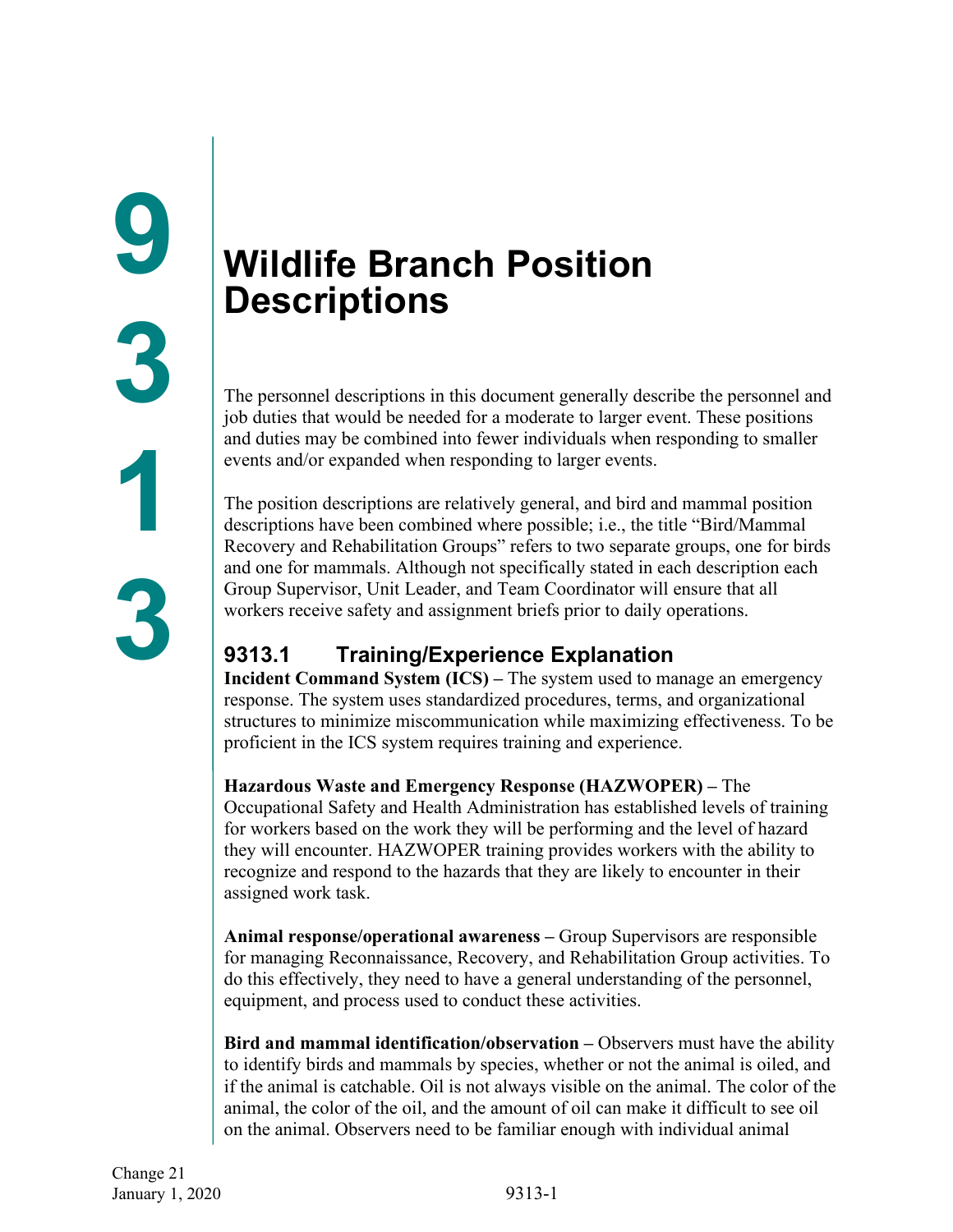## <span id="page-2-1"></span><span id="page-2-0"></span>**Wildlife Branch Position Descriptions**

The personnel descriptions in this document generally describe the personnel and job duties that would be needed for a moderate to larger event. These positions and duties may be combined into fewer individuals when responding to smaller events and/or expanded when responding to larger events.

The position descriptions are relatively general, and bird and mammal position descriptions have been combined where possible; i.e., the title "Bird/Mammal Recovery and Rehabilitation Groups" refers to two separate groups, one for birds and one for mammals. Although not specifically stated in each description each Group Supervisor, Unit Leader, and Team Coordinator will ensure that all workers receive safety and assignment briefs prior to daily operations.

### <span id="page-2-2"></span>**9313.1 Training/Experience Explanation**

**Incident Command System (ICS) –** The system used to manage an emergency response. The system uses standardized procedures, terms, and organizational structures to minimize miscommunication while maximizing effectiveness. To be proficient in the ICS system requires training and experience.

**Hazardous Waste and Emergency Response (HAZWOPER) –** The Occupational Safety and Health Administration has established levels of training for workers based on the work they will be performing and the level of hazard they will encounter. HAZWOPER training provides workers with the ability to recognize and respond to the hazards that they are likely to encounter in their assigned work task.

**Animal response/operational awareness –** Group Supervisors are responsible for managing Reconnaissance, Recovery, and Rehabilitation Group activities. To do this effectively, they need to have a general understanding of the personnel, equipment, and process used to conduct these activities.

**Bird and mammal identification/observation –** Observers must have the ability to identify birds and mammals by species, whether or not the animal is oiled, and if the animal is catchable. Oil is not always visible on the animal. The color of the animal, the color of the oil, and the amount of oil can make it difficult to see oil on the animal. Observers need to be familiar enough with individual animal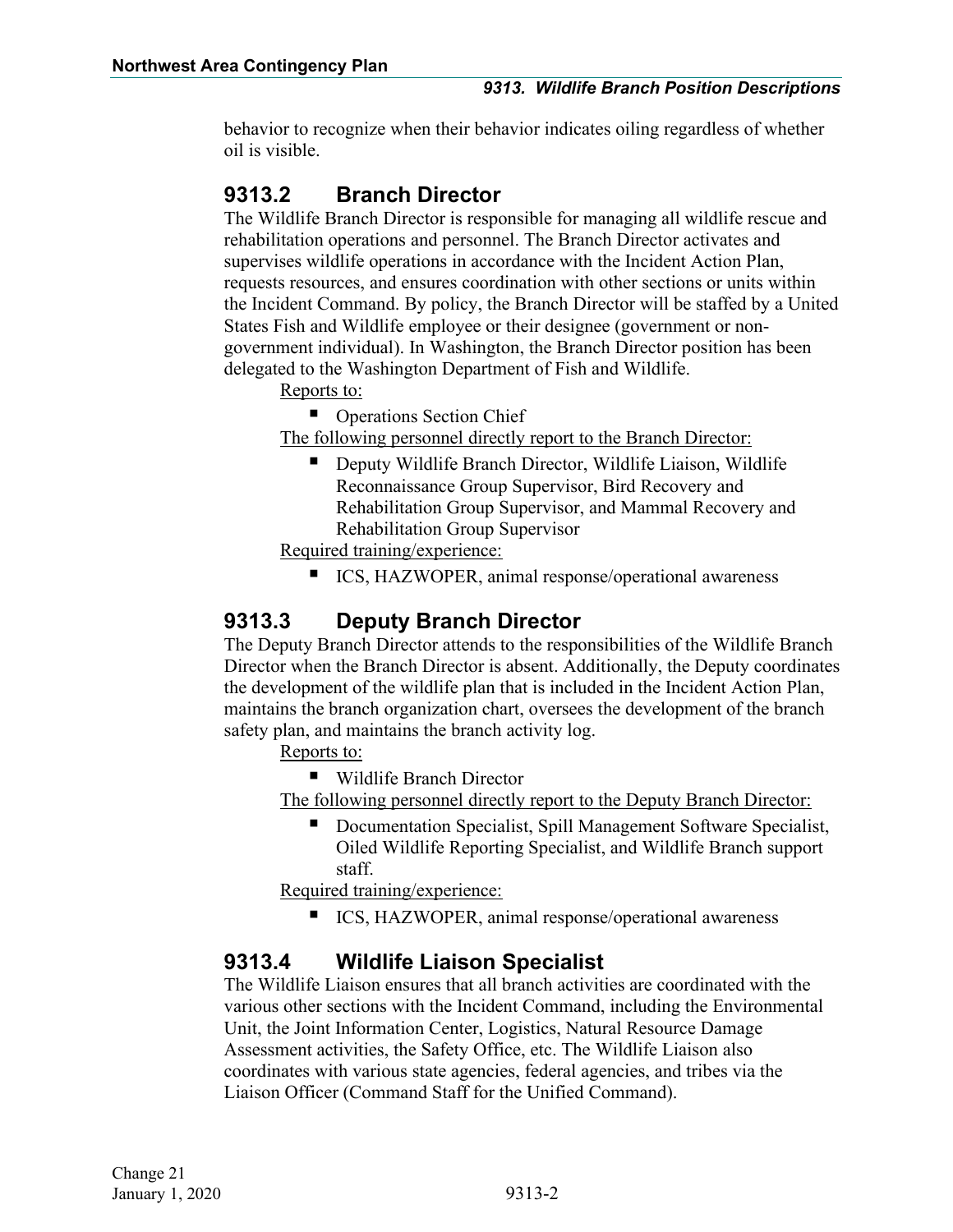behavior to recognize when their behavior indicates oiling regardless of whether oil is visible.

#### <span id="page-3-0"></span>**9313.2 Branch Director**

The Wildlife Branch Director is responsible for managing all wildlife rescue and rehabilitation operations and personnel. The Branch Director activates and supervises wildlife operations in accordance with the Incident Action Plan, requests resources, and ensures coordination with other sections or units within the Incident Command. By policy, the Branch Director will be staffed by a United States Fish and Wildlife employee or their designee (government or nongovernment individual). In Washington, the Branch Director position has been delegated to the Washington Department of Fish and Wildlife.

Reports to:

■ Operations Section Chief

The following personnel directly report to the Branch Director:

■ Deputy Wildlife Branch Director, Wildlife Liaison, Wildlife Reconnaissance Group Supervisor, Bird Recovery and Rehabilitation Group Supervisor, and Mammal Recovery and Rehabilitation Group Supervisor

Required training/experience:

■ ICS, HAZWOPER, animal response/operational awareness

#### <span id="page-3-1"></span>**9313.3 Deputy Branch Director**

The Deputy Branch Director attends to the responsibilities of the Wildlife Branch Director when the Branch Director is absent. Additionally, the Deputy coordinates the development of the wildlife plan that is included in the Incident Action Plan, maintains the branch organization chart, oversees the development of the branch safety plan, and maintains the branch activity log.

Reports to:

■ Wildlife Branch Director

The following personnel directly report to the Deputy Branch Director:

 Documentation Specialist, Spill Management Software Specialist, Oiled Wildlife Reporting Specialist, and Wildlife Branch support staff.

Required training/experience:

■ ICS, HAZWOPER, animal response/operational awareness

#### <span id="page-3-2"></span>**9313.4 Wildlife Liaison Specialist**

The Wildlife Liaison ensures that all branch activities are coordinated with the various other sections with the Incident Command, including the Environmental Unit, the Joint Information Center, Logistics, Natural Resource Damage Assessment activities, the Safety Office, etc. The Wildlife Liaison also coordinates with various state agencies, federal agencies, and tribes via the Liaison Officer (Command Staff for the Unified Command).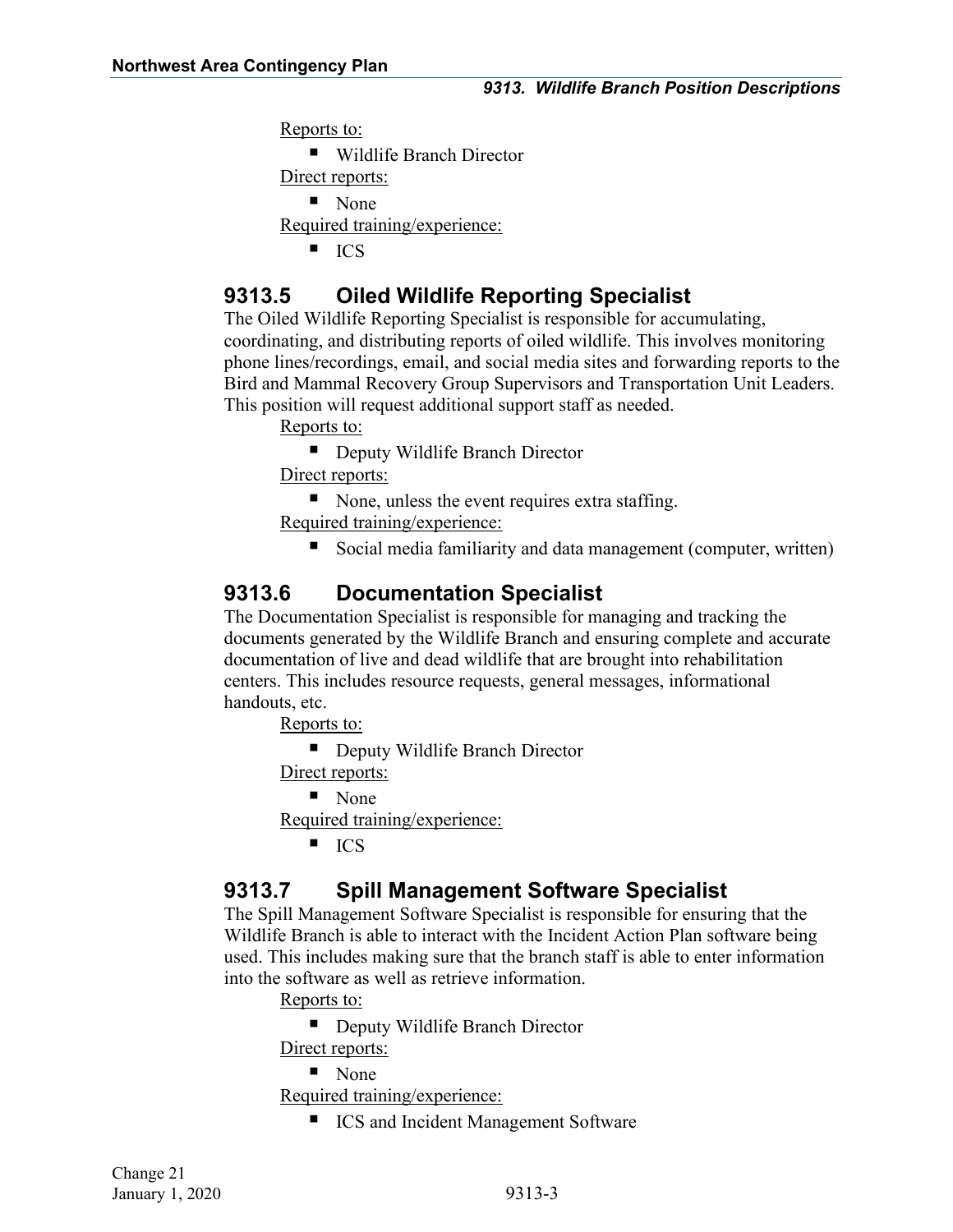Reports to:

■ Wildlife Branch Director Direct reports: • None Required training/experience:  $ICS$ 

#### <span id="page-4-0"></span>**9313.5 Oiled Wildlife Reporting Specialist**

The Oiled Wildlife Reporting Specialist is responsible for accumulating, coordinating, and distributing reports of oiled wildlife. This involves monitoring phone lines/recordings, email, and social media sites and forwarding reports to the Bird and Mammal Recovery Group Supervisors and Transportation Unit Leaders. This position will request additional support staff as needed.

Reports to:

■ Deputy Wildlife Branch Director

Direct reports:

None, unless the event requires extra staffing.

Required training/experience:

Social media familiarity and data management (computer, written)

#### <span id="page-4-1"></span>**9313.6 Documentation Specialist**

The Documentation Specialist is responsible for managing and tracking the documents generated by the Wildlife Branch and ensuring complete and accurate documentation of live and dead wildlife that are brought into rehabilitation centers. This includes resource requests, general messages, informational handouts, etc.

Reports to:

■ Deputy Wildlife Branch Director

Direct reports:

 $\blacksquare$  None

Required training/experience:

 $ICS$ 

#### <span id="page-4-2"></span>**9313.7 Spill Management Software Specialist**

The Spill Management Software Specialist is responsible for ensuring that the Wildlife Branch is able to interact with the Incident Action Plan software being used. This includes making sure that the branch staff is able to enter information into the software as well as retrieve information.

Reports to:

■ Deputy Wildlife Branch Director

Direct reports:

■ None

Required training/experience:

■ ICS and Incident Management Software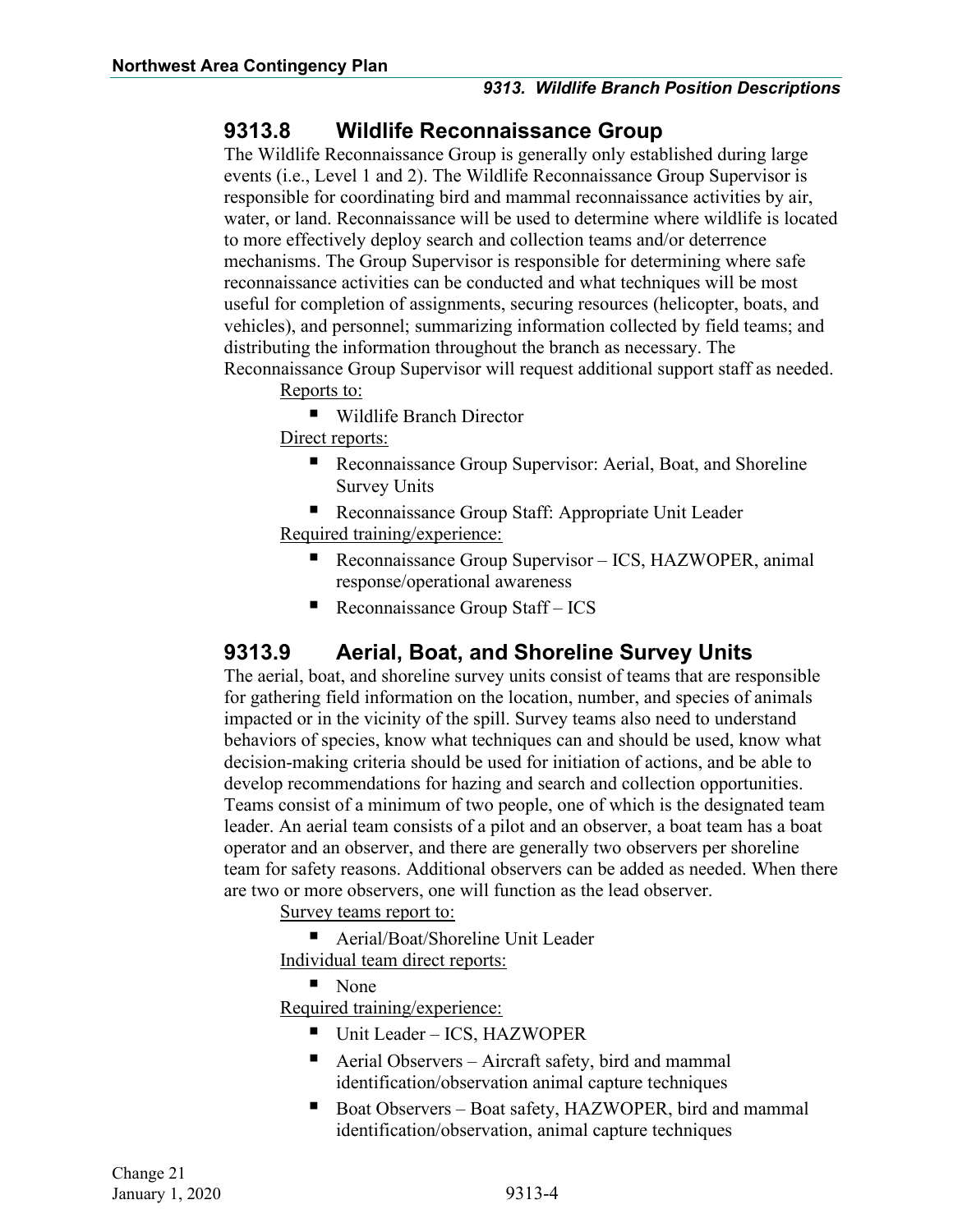#### <span id="page-5-0"></span>**9313.8 Wildlife Reconnaissance Group**

The Wildlife Reconnaissance Group is generally only established during large events (i.e., Level 1 and 2). The Wildlife Reconnaissance Group Supervisor is responsible for coordinating bird and mammal reconnaissance activities by air, water, or land. Reconnaissance will be used to determine where wildlife is located to more effectively deploy search and collection teams and/or deterrence mechanisms. The Group Supervisor is responsible for determining where safe reconnaissance activities can be conducted and what techniques will be most useful for completion of assignments, securing resources (helicopter, boats, and vehicles), and personnel; summarizing information collected by field teams; and distributing the information throughout the branch as necessary. The Reconnaissance Group Supervisor will request additional support staff as needed.

Reports to:

■ Wildlife Branch Director

Direct reports:

■ Reconnaissance Group Supervisor: Aerial, Boat, and Shoreline Survey Units

■ Reconnaissance Group Staff: Appropriate Unit Leader Required training/experience:

- Reconnaissance Group Supervisor ICS, HAZWOPER, animal response/operational awareness
- Reconnaissance Group Staff  $ICS$

#### <span id="page-5-1"></span>**9313.9 Aerial, Boat, and Shoreline Survey Units**

The aerial, boat, and shoreline survey units consist of teams that are responsible for gathering field information on the location, number, and species of animals impacted or in the vicinity of the spill. Survey teams also need to understand behaviors of species, know what techniques can and should be used, know what decision-making criteria should be used for initiation of actions, and be able to develop recommendations for hazing and search and collection opportunities. Teams consist of a minimum of two people, one of which is the designated team leader. An aerial team consists of a pilot and an observer, a boat team has a boat operator and an observer, and there are generally two observers per shoreline team for safety reasons. Additional observers can be added as needed. When there are two or more observers, one will function as the lead observer.

Survey teams report to:

■ Aerial/Boat/Shoreline Unit Leader Individual team direct reports:

■ None

Required training/experience:

- Unit Leader ICS, HAZWOPER
- Aerial Observers Aircraft safety, bird and mammal identification/observation animal capture techniques
- Boat Observers Boat safety, HAZWOPER, bird and mammal identification/observation, animal capture techniques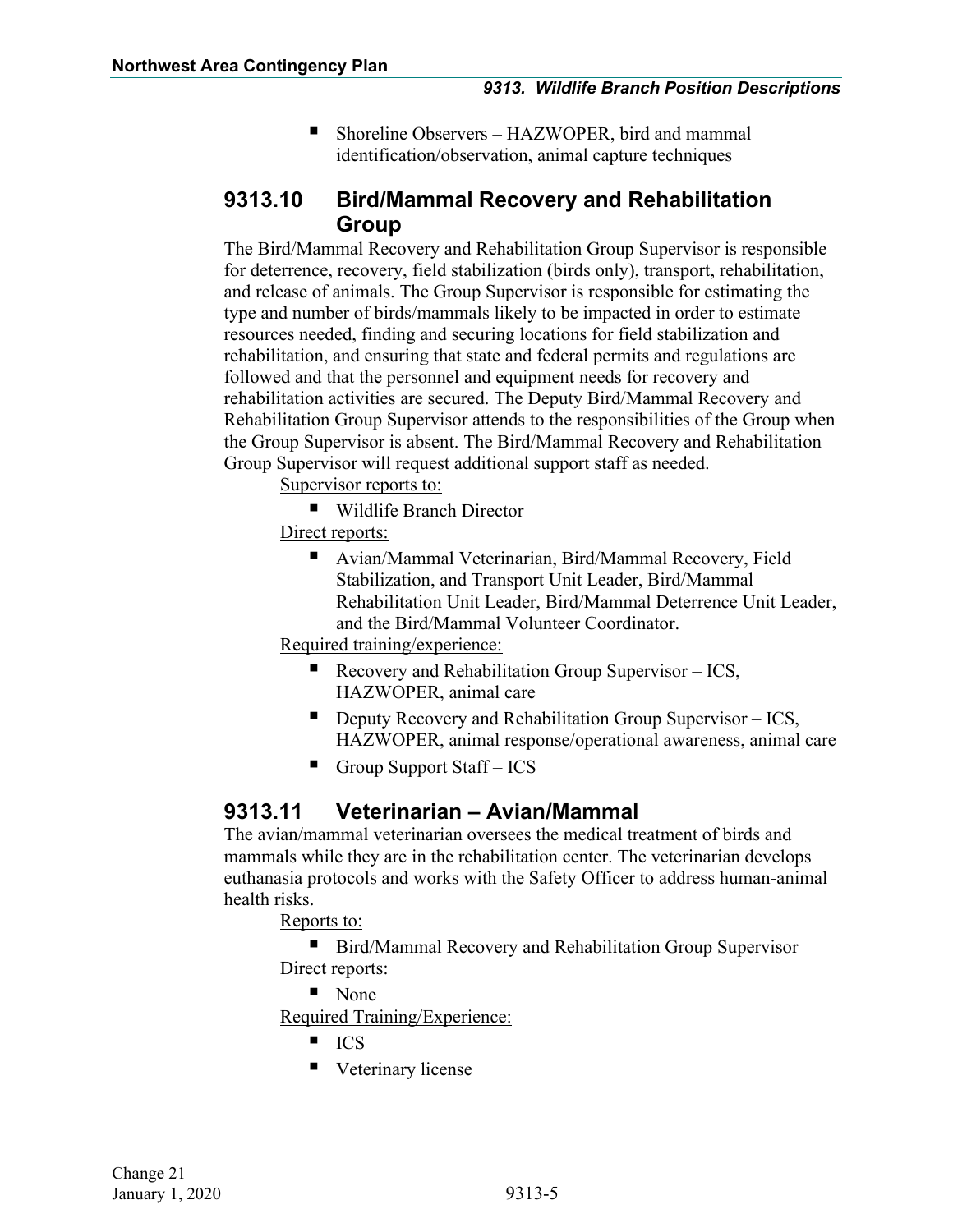Shoreline Observers – HAZWOPER, bird and mammal identification/observation, animal capture techniques

#### <span id="page-6-0"></span>**9313.10 Bird/Mammal Recovery and Rehabilitation Group**

The Bird/Mammal Recovery and Rehabilitation Group Supervisor is responsible for deterrence, recovery, field stabilization (birds only), transport, rehabilitation, and release of animals. The Group Supervisor is responsible for estimating the type and number of birds/mammals likely to be impacted in order to estimate resources needed, finding and securing locations for field stabilization and rehabilitation, and ensuring that state and federal permits and regulations are followed and that the personnel and equipment needs for recovery and rehabilitation activities are secured. The Deputy Bird/Mammal Recovery and Rehabilitation Group Supervisor attends to the responsibilities of the Group when the Group Supervisor is absent. The Bird/Mammal Recovery and Rehabilitation Group Supervisor will request additional support staff as needed.

Supervisor reports to:

■ Wildlife Branch Director

Direct reports:

■ Avian/Mammal Veterinarian, Bird/Mammal Recovery, Field Stabilization, and Transport Unit Leader, Bird/Mammal Rehabilitation Unit Leader, Bird/Mammal Deterrence Unit Leader, and the Bird/Mammal Volunteer Coordinator.

Required training/experience:

- Recovery and Rehabilitation Group Supervisor ICS, HAZWOPER, animal care
- Deputy Recovery and Rehabilitation Group Supervisor  $-$  ICS, HAZWOPER, animal response/operational awareness, animal care
- Group Support Staff ICS

#### <span id="page-6-1"></span>**9313.11 Veterinarian – Avian/Mammal**

The avian/mammal veterinarian oversees the medical treatment of birds and mammals while they are in the rehabilitation center. The veterinarian develops euthanasia protocols and works with the Safety Officer to address human-animal health risks.

Reports to:

■ Bird/Mammal Recovery and Rehabilitation Group Supervisor Direct reports:

■ None

Required Training/Experience:

- $ICS$
- **U** Veterinary license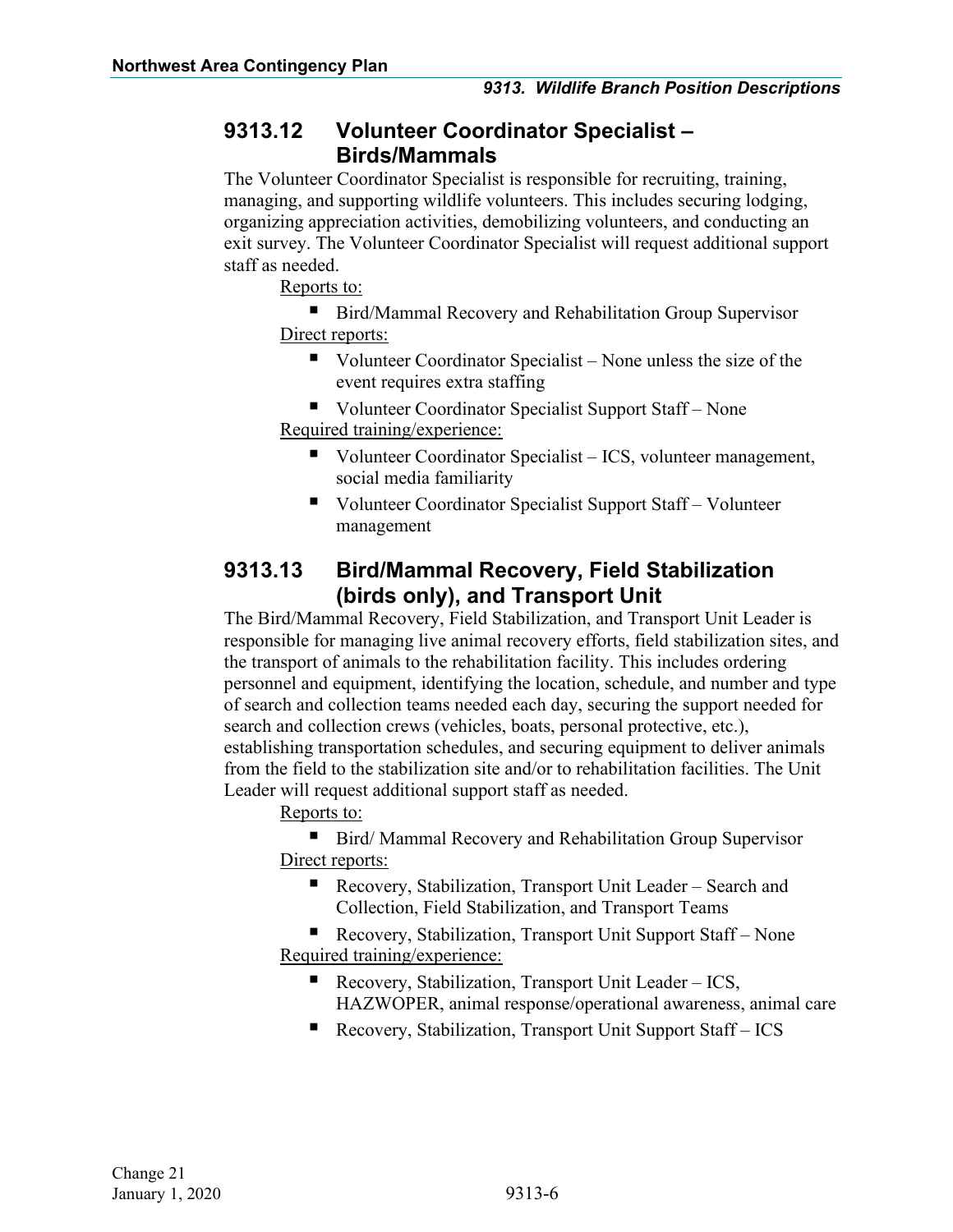#### <span id="page-7-0"></span>**9313.12 Volunteer Coordinator Specialist – Birds/Mammals**

The Volunteer Coordinator Specialist is responsible for recruiting, training, managing, and supporting wildlife volunteers. This includes securing lodging, organizing appreciation activities, demobilizing volunteers, and conducting an exit survey. The Volunteer Coordinator Specialist will request additional support staff as needed.

Reports to:

■ Bird/Mammal Recovery and Rehabilitation Group Supervisor Direct reports:

- $\blacksquare$  Volunteer Coordinator Specialist None unless the size of the event requires extra staffing
- Volunteer Coordinator Specialist Support Staff None Required training/experience:
	- Volunteer Coordinator Specialist ICS, volunteer management, social media familiarity
	- Volunteer Coordinator Specialist Support Staff Volunteer management

#### <span id="page-7-1"></span>**9313.13 Bird/Mammal Recovery, Field Stabilization (birds only), and Transport Unit**

The Bird/Mammal Recovery, Field Stabilization, and Transport Unit Leader is responsible for managing live animal recovery efforts, field stabilization sites, and the transport of animals to the rehabilitation facility. This includes ordering personnel and equipment, identifying the location, schedule, and number and type of search and collection teams needed each day, securing the support needed for search and collection crews (vehicles, boats, personal protective, etc.), establishing transportation schedules, and securing equipment to deliver animals from the field to the stabilization site and/or to rehabilitation facilities. The Unit Leader will request additional support staff as needed.

Reports to:

■ Bird/ Mammal Recovery and Rehabilitation Group Supervisor Direct reports:

■ Recovery, Stabilization, Transport Unit Leader – Search and Collection, Field Stabilization, and Transport Teams

■ Recovery, Stabilization, Transport Unit Support Staff – None Required training/experience:

- Recovery, Stabilization, Transport Unit Leader ICS, HAZWOPER, animal response/operational awareness, animal care
- Recovery, Stabilization, Transport Unit Support Staff ICS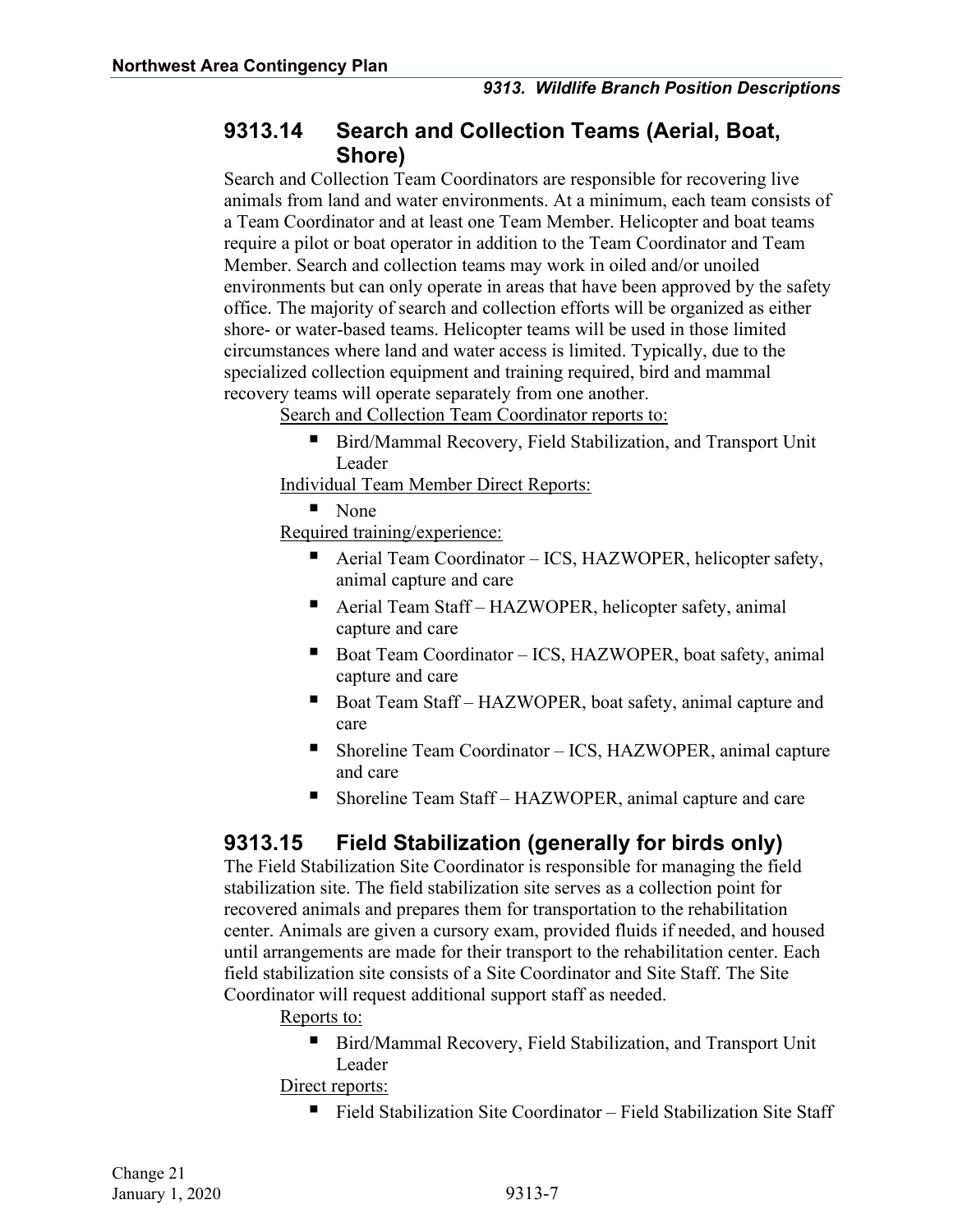#### <span id="page-8-0"></span>**9313.14 Search and Collection Teams (Aerial, Boat, Shore)**

Search and Collection Team Coordinators are responsible for recovering live animals from land and water environments. At a minimum, each team consists of a Team Coordinator and at least one Team Member. Helicopter and boat teams require a pilot or boat operator in addition to the Team Coordinator and Team Member. Search and collection teams may work in oiled and/or unoiled environments but can only operate in areas that have been approved by the safety office. The majority of search and collection efforts will be organized as either shore- or water-based teams. Helicopter teams will be used in those limited circumstances where land and water access is limited. Typically, due to the specialized collection equipment and training required, bird and mammal recovery teams will operate separately from one another.

Search and Collection Team Coordinator reports to:

 Bird/Mammal Recovery, Field Stabilization, and Transport Unit Leader

Individual Team Member Direct Reports:

■ None

Required training/experience:

- Aerial Team Coordinator ICS, HAZWOPER, helicopter safety, animal capture and care
- Aerial Team Staff HAZWOPER, helicopter safety, animal capture and care
- Boat Team Coordinator ICS, HAZWOPER, boat safety, animal capture and care
- Boat Team Staff HAZWOPER, boat safety, animal capture and care
- Shoreline Team Coordinator ICS, HAZWOPER, animal capture and care
- Shoreline Team Staff HAZWOPER, animal capture and care

#### <span id="page-8-1"></span>**9313.15 Field Stabilization (generally for birds only)**

The Field Stabilization Site Coordinator is responsible for managing the field stabilization site. The field stabilization site serves as a collection point for recovered animals and prepares them for transportation to the rehabilitation center. Animals are given a cursory exam, provided fluids if needed, and housed until arrangements are made for their transport to the rehabilitation center. Each field stabilization site consists of a Site Coordinator and Site Staff. The Site Coordinator will request additional support staff as needed.

Reports to:

■ Bird/Mammal Recovery, Field Stabilization, and Transport Unit Leader

Direct reports:

■ Field Stabilization Site Coordinator – Field Stabilization Site Staff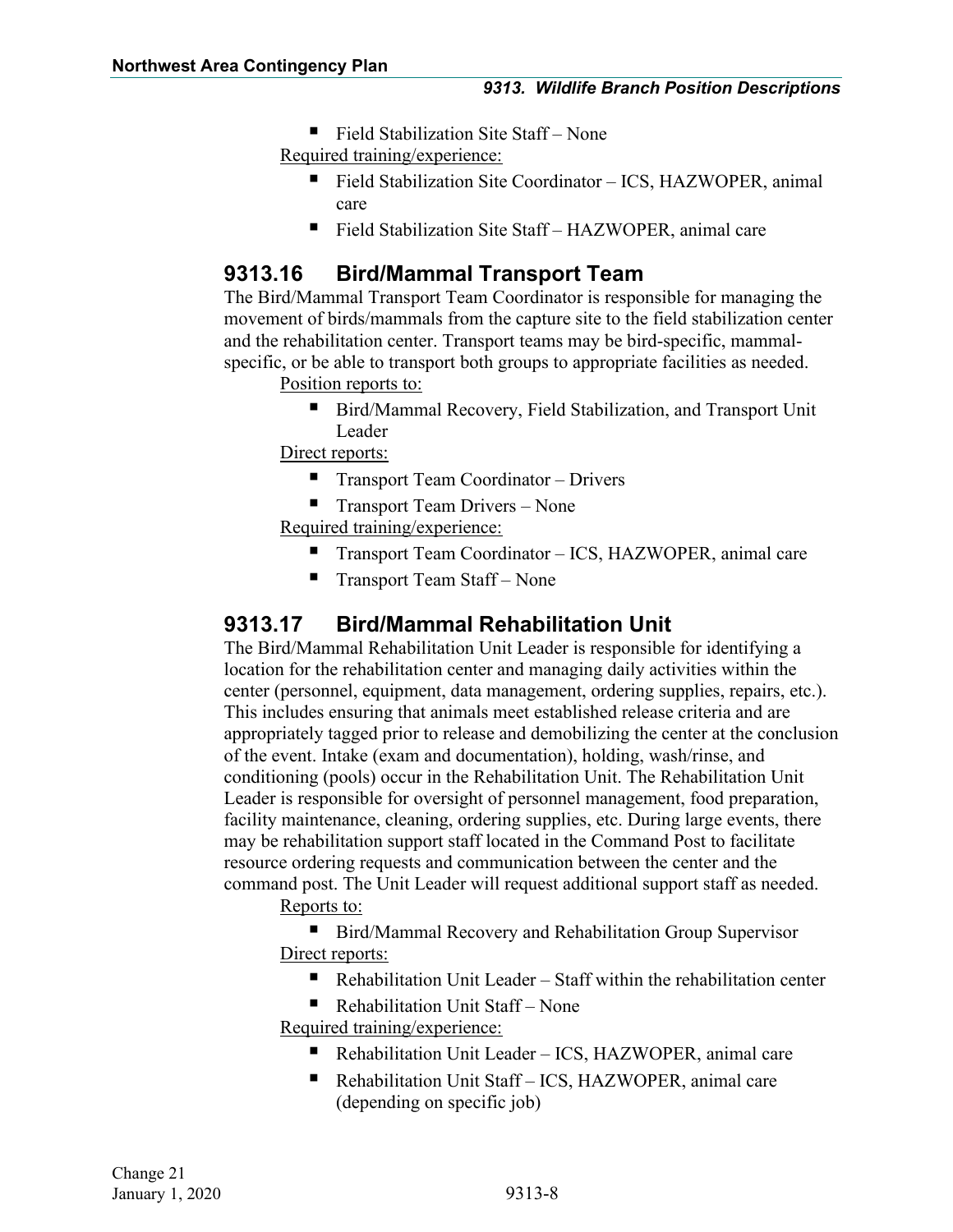- Field Stabilization Site Staff None Required training/experience:
	- Field Stabilization Site Coordinator ICS, HAZWOPER, animal care
	- Field Stabilization Site Staff HAZWOPER, animal care

#### <span id="page-9-0"></span>**9313.16 Bird/Mammal Transport Team**

The Bird/Mammal Transport Team Coordinator is responsible for managing the movement of birds/mammals from the capture site to the field stabilization center and the rehabilitation center. Transport teams may be bird-specific, mammalspecific, or be able to transport both groups to appropriate facilities as needed.

Position reports to:

■ Bird/Mammal Recovery, Field Stabilization, and Transport Unit Leader

Direct reports:

- $\blacksquare$  Transport Team Coordinator Drivers
- **Transport Team Drivers None**

Required training/experience:

- Transport Team Coordinator ICS, HAZWOPER, animal care
- Transport Team Staff None

#### <span id="page-9-1"></span>**9313.17 Bird/Mammal Rehabilitation Unit**

The Bird/Mammal Rehabilitation Unit Leader is responsible for identifying a location for the rehabilitation center and managing daily activities within the center (personnel, equipment, data management, ordering supplies, repairs, etc.). This includes ensuring that animals meet established release criteria and are appropriately tagged prior to release and demobilizing the center at the conclusion of the event. Intake (exam and documentation), holding, wash/rinse, and conditioning (pools) occur in the Rehabilitation Unit. The Rehabilitation Unit Leader is responsible for oversight of personnel management, food preparation, facility maintenance, cleaning, ordering supplies, etc. During large events, there may be rehabilitation support staff located in the Command Post to facilitate resource ordering requests and communication between the center and the command post. The Unit Leader will request additional support staff as needed.

Reports to:

■ Bird/Mammal Recovery and Rehabilitation Group Supervisor Direct reports:

- Rehabilitation Unit Leader Staff within the rehabilitation center
- Rehabilitation Unit Staff None Required training/experience:
	- Rehabilitation Unit Leader ICS, HAZWOPER, animal care
	- Rehabilitation Unit Staff ICS, HAZWOPER, animal care (depending on specific job)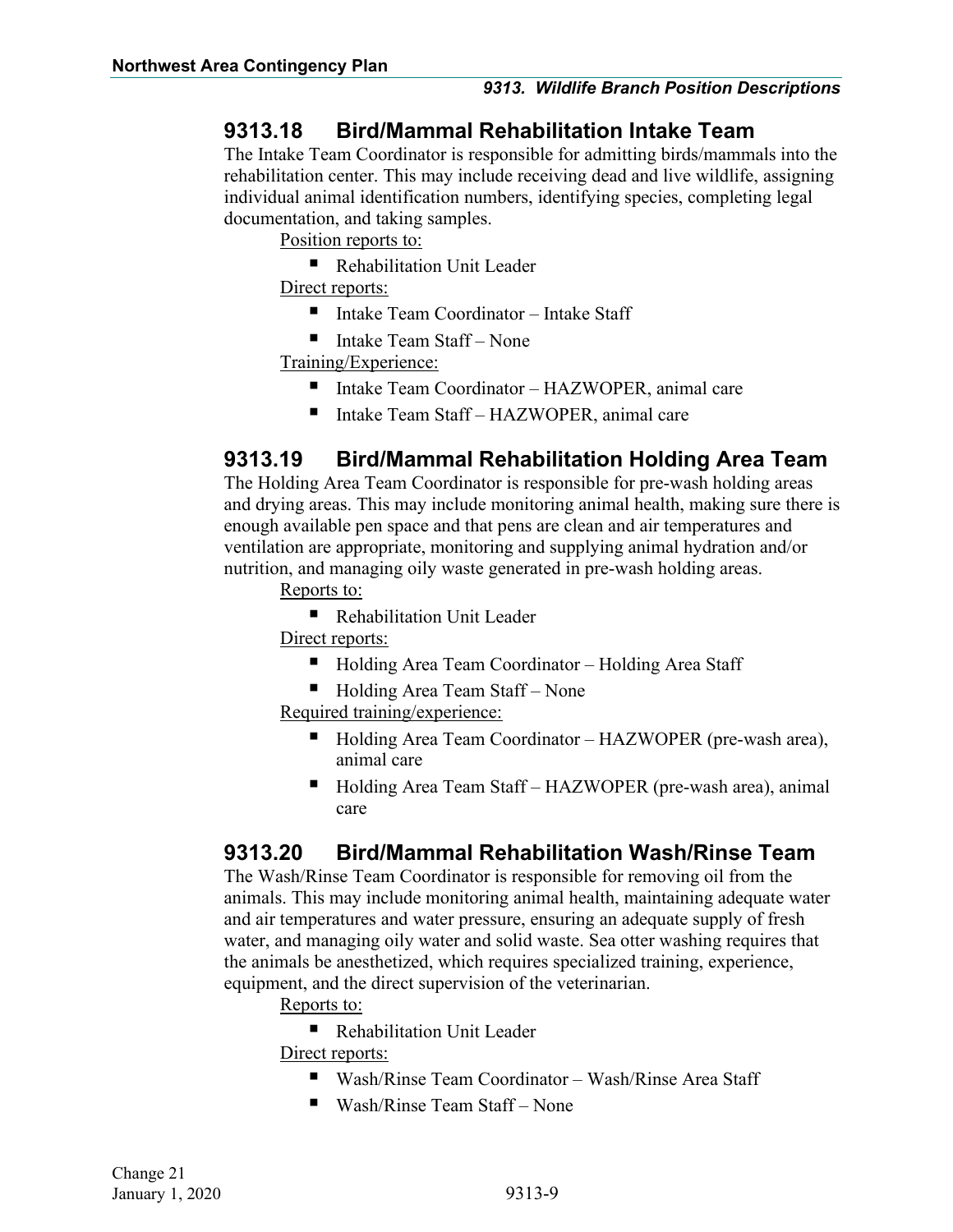#### <span id="page-10-0"></span>**9313.18 Bird/Mammal Rehabilitation Intake Team**

The Intake Team Coordinator is responsible for admitting birds/mammals into the rehabilitation center. This may include receiving dead and live wildlife, assigning individual animal identification numbers, identifying species, completing legal documentation, and taking samples.

Position reports to:

■ Rehabilitation Unit Leader

Direct reports:

- Intake Team Coordinator Intake Staff
- $\blacksquare$  Intake Team Staff None

Training/Experience:

- Intake Team Coordinator HAZWOPER, animal care
- Intake Team Staff HAZWOPER, animal care

#### <span id="page-10-1"></span>**9313.19 Bird/Mammal Rehabilitation Holding Area Team**

The Holding Area Team Coordinator is responsible for pre-wash holding areas and drying areas. This may include monitoring animal health, making sure there is enough available pen space and that pens are clean and air temperatures and ventilation are appropriate, monitoring and supplying animal hydration and/or nutrition, and managing oily waste generated in pre-wash holding areas.

Reports to:

■ Rehabilitation Unit Leader

Direct reports:

- Holding Area Team Coordinator Holding Area Staff
- $\blacksquare$  Holding Area Team Staff None

Required training/experience:

- Holding Area Team Coordinator HAZWOPER (pre-wash area), animal care
- Holding Area Team Staff HAZWOPER (pre-wash area), animal care

#### <span id="page-10-2"></span>**9313.20 Bird/Mammal Rehabilitation Wash/Rinse Team**

The Wash/Rinse Team Coordinator is responsible for removing oil from the animals. This may include monitoring animal health, maintaining adequate water and air temperatures and water pressure, ensuring an adequate supply of fresh water, and managing oily water and solid waste. Sea otter washing requires that the animals be anesthetized, which requires specialized training, experience, equipment, and the direct supervision of the veterinarian.

Reports to:

**Rehabilitation Unit Leader** 

Direct reports:

- Wash/Rinse Team Coordinator Wash/Rinse Area Staff
- Wash/Rinse Team Staff None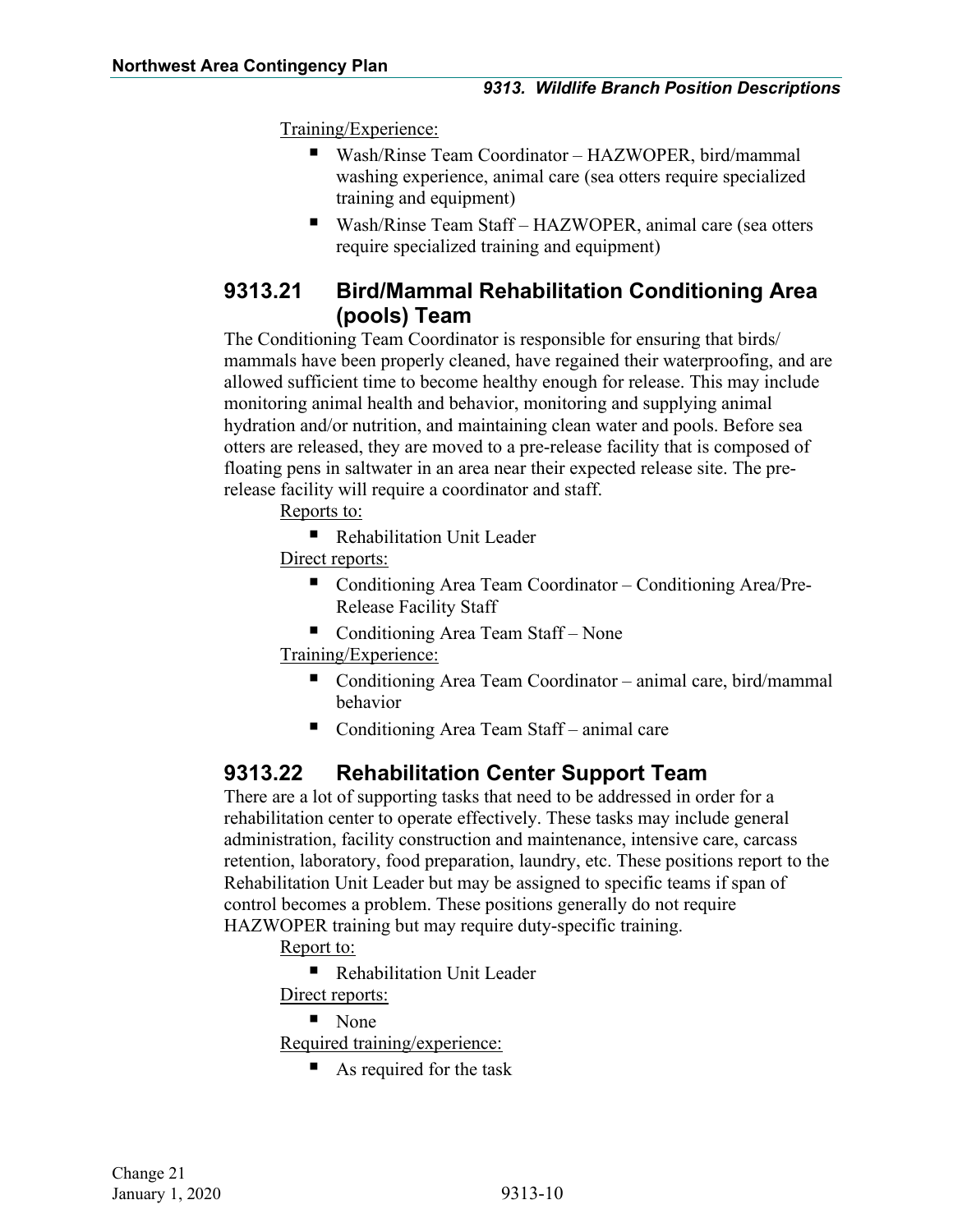Training/Experience:

- Wash/Rinse Team Coordinator HAZWOPER, bird/mammal washing experience, animal care (sea otters require specialized training and equipment)
- Wash/Rinse Team Staff HAZWOPER, animal care (sea otters require specialized training and equipment)

#### <span id="page-11-0"></span>**9313.21 Bird/Mammal Rehabilitation Conditioning Area (pools) Team**

The Conditioning Team Coordinator is responsible for ensuring that birds/ mammals have been properly cleaned, have regained their waterproofing, and are allowed sufficient time to become healthy enough for release. This may include monitoring animal health and behavior, monitoring and supplying animal hydration and/or nutrition, and maintaining clean water and pools. Before sea otters are released, they are moved to a pre-release facility that is composed of floating pens in saltwater in an area near their expected release site. The prerelease facility will require a coordinator and staff.

Reports to:

■ Rehabilitation Unit Leader

Direct reports:

- Conditioning Area Team Coordinator Conditioning Area/Pre-Release Facility Staff
- Conditioning Area Team Staff None

Training/Experience:

- Conditioning Area Team Coordinator animal care, bird/mammal behavior
- Conditioning Area Team Staff animal care

#### <span id="page-11-1"></span>**9313.22 Rehabilitation Center Support Team**

There are a lot of supporting tasks that need to be addressed in order for a rehabilitation center to operate effectively. These tasks may include general administration, facility construction and maintenance, intensive care, carcass retention, laboratory, food preparation, laundry, etc. These positions report to the Rehabilitation Unit Leader but may be assigned to specific teams if span of control becomes a problem. These positions generally do not require

HAZWOPER training but may require duty-specific training.

Report to:

■ Rehabilitation Unit Leader

- Direct reports:
	- None

Required training/experience:

■ As required for the task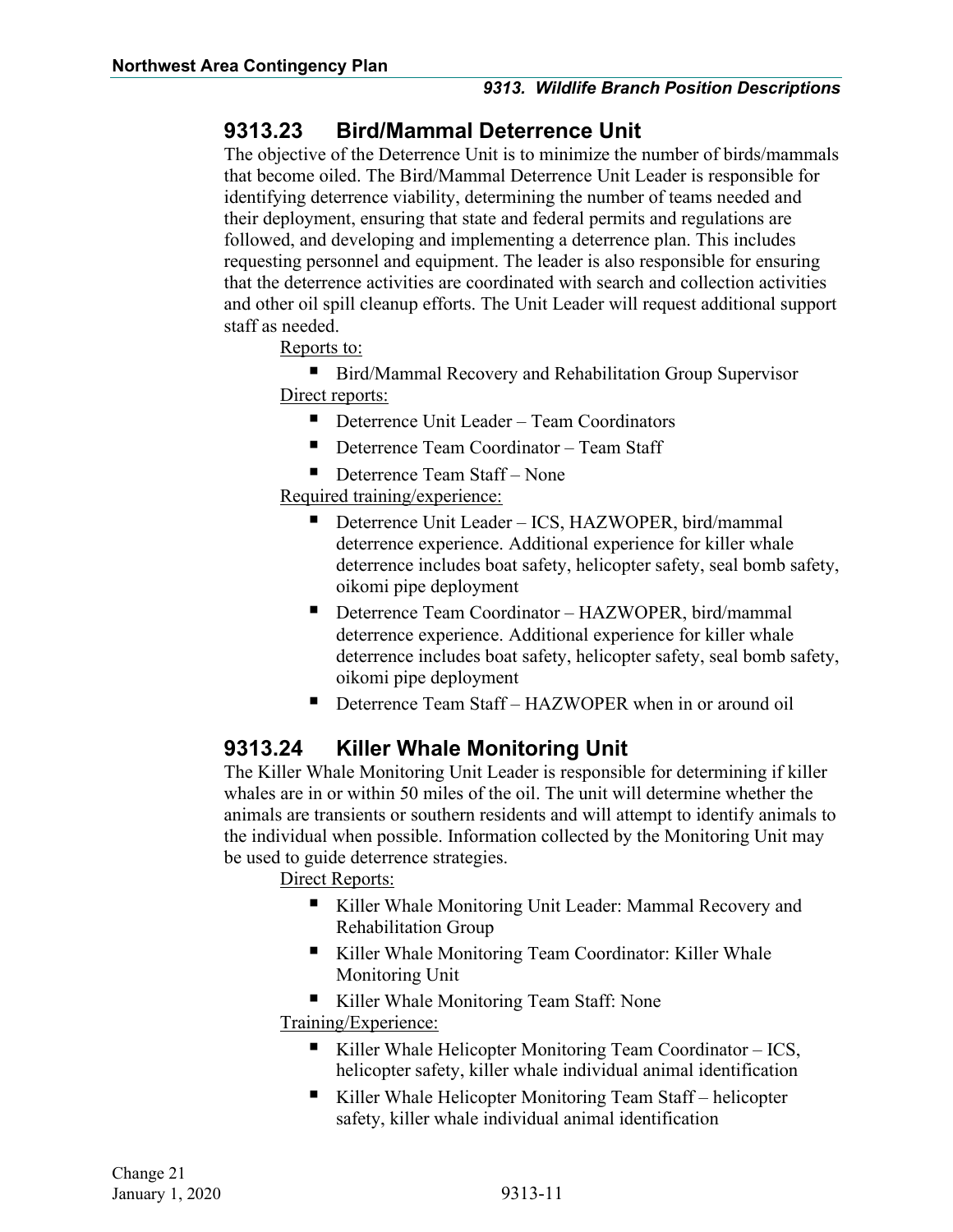#### <span id="page-12-0"></span>**9313.23 Bird/Mammal Deterrence Unit**

The objective of the Deterrence Unit is to minimize the number of birds/mammals that become oiled. The Bird/Mammal Deterrence Unit Leader is responsible for identifying deterrence viability, determining the number of teams needed and their deployment, ensuring that state and federal permits and regulations are followed, and developing and implementing a deterrence plan. This includes requesting personnel and equipment. The leader is also responsible for ensuring that the deterrence activities are coordinated with search and collection activities and other oil spill cleanup efforts. The Unit Leader will request additional support staff as needed.

Reports to:

■ Bird/Mammal Recovery and Rehabilitation Group Supervisor Direct reports:

- **Deterrence Unit Leader Team Coordinators**
- Deterrence Team Coordinator Team Staff
- Deterrence Team Staff None

Required training/experience:

- Deterrence Unit Leader ICS, HAZWOPER, bird/mammal deterrence experience. Additional experience for killer whale deterrence includes boat safety, helicopter safety, seal bomb safety, oikomi pipe deployment
- Deterrence Team Coordinator HAZWOPER, bird/mammal deterrence experience. Additional experience for killer whale deterrence includes boat safety, helicopter safety, seal bomb safety, oikomi pipe deployment
- Deterrence Team Staff HAZWOPER when in or around oil

#### <span id="page-12-1"></span>**9313.24 Killer Whale Monitoring Unit**

The Killer Whale Monitoring Unit Leader is responsible for determining if killer whales are in or within 50 miles of the oil. The unit will determine whether the animals are transients or southern residents and will attempt to identify animals to the individual when possible. Information collected by the Monitoring Unit may be used to guide deterrence strategies.

Direct Reports:

- Killer Whale Monitoring Unit Leader: Mammal Recovery and Rehabilitation Group
- Killer Whale Monitoring Team Coordinator: Killer Whale Monitoring Unit

■ Killer Whale Monitoring Team Staff: None

Training/Experience:

- Killer Whale Helicopter Monitoring Team Coordinator  $ICS$ , helicopter safety, killer whale individual animal identification
- Killer Whale Helicopter Monitoring Team Staff helicopter safety, killer whale individual animal identification